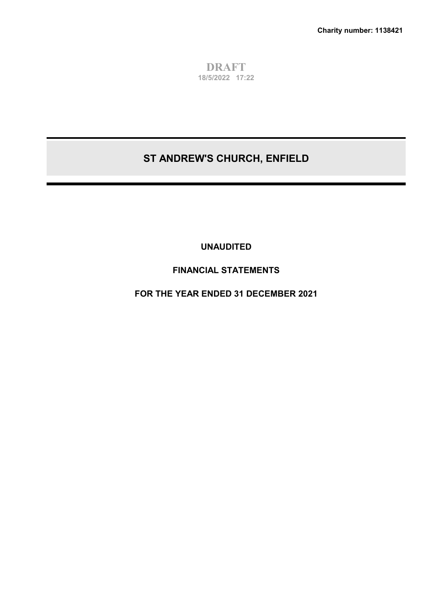**DRAFT 18/5/2022 17:22**

# **ST ANDREW'S CHURCH, ENFIELD**

**UNAUDITED**

# **FINANCIAL STATEMENTS**

**FOR THE YEAR ENDED 31 DECEMBER 2021**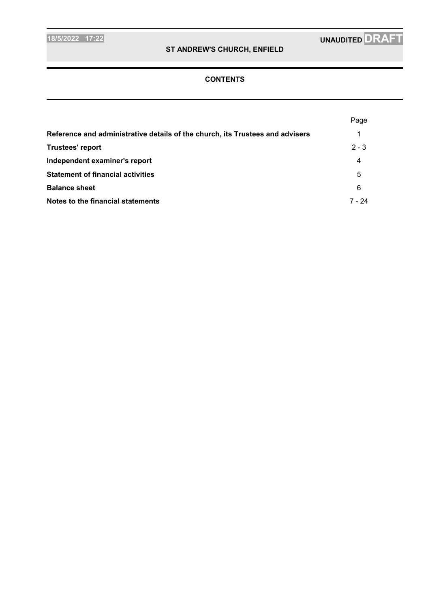## **CONTENTS**

|                                                                               | Page    |
|-------------------------------------------------------------------------------|---------|
| Reference and administrative details of the church, its Trustees and advisers |         |
| Trustees' report                                                              | $2 - 3$ |
| Independent examiner's report                                                 | 4       |
| <b>Statement of financial activities</b>                                      | 5       |
| <b>Balance sheet</b>                                                          | 6       |
| Notes to the financial statements                                             | 7 - 24  |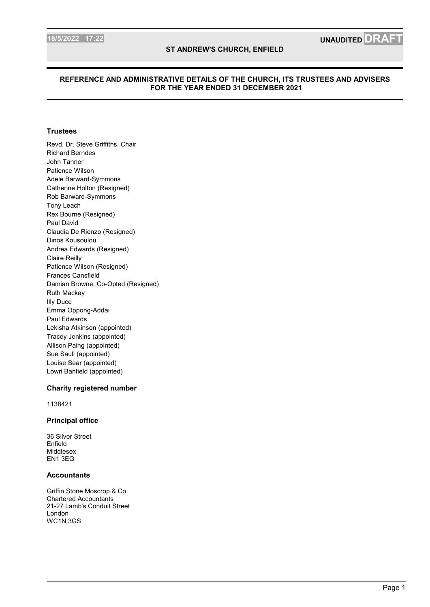#### **REFERENCE AND ADMINISTRATIVE DETAILS OF THE CHURCH, ITS TRUSTEES AND ADVISERS FOR THE YEAR ENDED 31 DECEMBER 2021**

#### **Trustees**

Revd. Dr. Steve Griffiths, Chair Richard Berndes John Tanner Patience Wilson Adele Barward-Symmons Catherine Holton (Resigned) Rob Barward-Symmons Tony Leach Rex Bourne (Resigned) Paul David Claudia De Rienzo (Resigned) Dinos Kousoulou Andrea Edwards (Resigned) Claire Reilly Patience Wilson (Resigned) Frances Cansfield Damian Browne, Co-Opted (Resigned) Ruth Mackay Illy Duce Emma Oppong-Addai Paul Edwards Lekisha Atkinson (appointed) Tracey Jenkins (appointed) Allison Paing (appointed) Sue Saull (appointed) Louise Sear (appointed) Lowri Banfield (appointed)

#### **Charity registered number**

1138421

### **Principal office**

36 Silver Street Enfield Middlesex EN1 3EG

#### **Accountants**

Griffin Stone Moscrop & Co Chartered Accountants 21-27 Lamb's Conduit Street London WC1N 3GS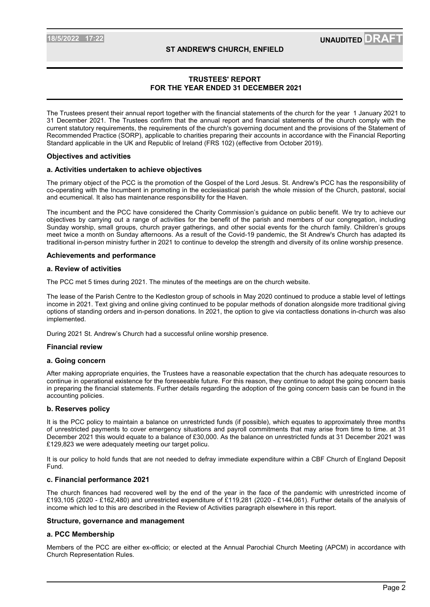### **TRUSTEES' REPORT FOR THE YEAR ENDED 31 DECEMBER 2021**

The Trustees present their annual report together with the financial statements of the church for the year 1 January 2021 to 31 December 2021. The Trustees confirm that the annual report and financial statements of the church comply with the current statutory requirements, the requirements of the church's governing document and the provisions of the Statement of Recommended Practice (SORP), applicable to charities preparing their accounts in accordance with the Financial Reporting Standard applicable in the UK and Republic of Ireland (FRS 102) (effective from October 2019).

#### **Objectives and activities**

#### **a. Activities undertaken to achieve objectives**

The primary object of the PCC is the promotion of the Gospel of the Lord Jesus. St. Andrew's PCC has the responsibility of co-operating with the Incumbent in promoting in the ecclesiastical parish the whole mission of the Church, pastoral, social and ecumenical. It also has maintenance responsibility for the Haven.

The incumbent and the PCC have considered the Charity Commission's guidance on public benefit. We try to achieve our objectives by carrying out a range of activities for the benefit of the parish and members of our congregation, including Sunday worship, small groups, church prayer gatherings, and other social events for the church family. Children's groups meet twice a month on Sunday afternoons. As a result of the Covid-19 pandemic, the St Andrew's Church has adapted its traditional in-person ministry further in 2021 to continue to develop the strength and diversity of its online worship presence.

#### **Achievements and performance**

#### **a. Review of activities**

The PCC met 5 times during 2021. The minutes of the meetings are on the church website.

The lease of the Parish Centre to the Kedleston group of schools in May 2020 continued to produce a stable level of lettings income in 2021. Text giving and online giving continued to be popular methods of donation alongside more traditional giving options of standing orders and in-person donations. In 2021, the option to give via contactless donations in-church was also implemented.

During 2021 St. Andrew's Church had a successful online worship presence.

#### **Financial review**

#### **a. Going concern**

After making appropriate enquiries, the Trustees have a reasonable expectation that the church has adequate resources to continue in operational existence for the foreseeable future. For this reason, they continue to adopt the going concern basis in preparing the financial statements. Further details regarding the adoption of the going concern basis can be found in the accounting policies.

#### **b. Reserves policy**

It is the PCC policy to maintain a balance on unrestricted funds (if possible), which equates to approximately three months of unrestricted payments to cover emergency situations and payroll commitments that may arise from time to time. at 31 December 2021 this would equate to a balance of £30,000. As the balance on unrestricted funds at 31 December 2021 was £129,823 we were adequately meeting our target policu.

It is our policy to hold funds that are not needed to defray immediate expenditure within a CBF Church of England Deposit Fund.

#### **c. Financial performance 2021**

The church finances had recovered well by the end of the year in the face of the pandemic with unrestricted income of £193,105 (2020 - £162,480) and unrestricted expenditure of £119,281 (2020 - £144,061). Further details of the analysis of income which led to this are described in the Review of Activities paragraph elsewhere in this report.

#### **Structure, governance and management**

#### **a. PCC Membership**

Members of the PCC are either ex-officio; or elected at the Annual Parochial Church Meeting (APCM) in accordance with Church Representation Rules.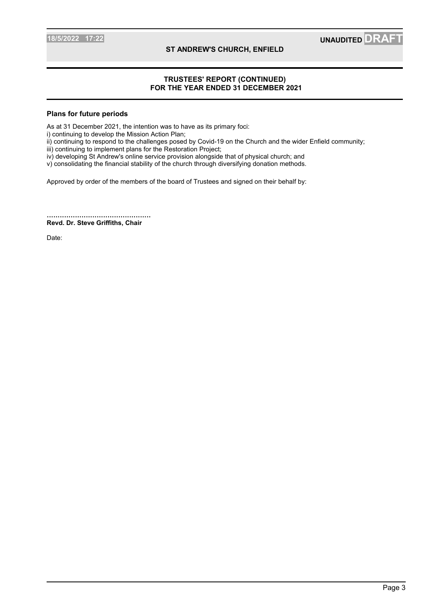### **TRUSTEES' REPORT (CONTINUED) FOR THE YEAR ENDED 31 DECEMBER 2021**

#### **Plans for future periods**

As at 31 December 2021, the intention was to have as its primary foci:

i) continuing to develop the Mission Action Plan;

ii) continuing to respond to the challenges posed by Covid-19 on the Church and the wider Enfield community;

iii) continuing to implement plans for the Restoration Project;

iv) developing St Andrew's online service provision alongside that of physical church; and

v) consolidating the financial stability of the church through diversifying donation methods.

Approved by order of the members of the board of Trustees and signed on their behalf by:

................................................ **Revd. Dr. Steve Griffiths, Chair**

Date: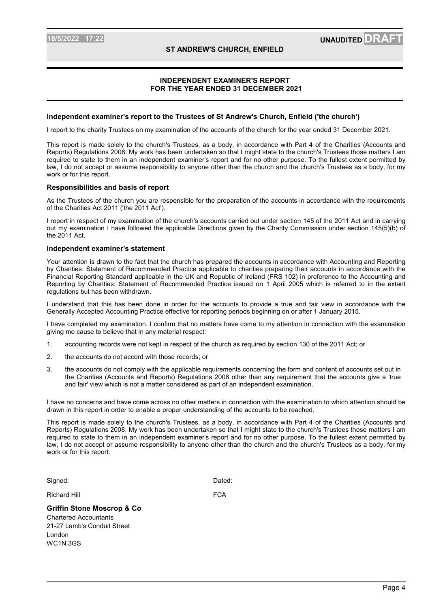### **INDEPENDENT EXAMINER'S REPORT FOR THE YEAR ENDED 31 DECEMBER 2021**

#### **Independent examiner's report to the Trustees of St Andrew's Church, Enfield ('the church')**

I report to the charity Trustees on my examination of the accounts of the church for the year ended 31 December 2021.

This report is made solely to the church's Trustees, as a body, in accordance with Part 4 of the Charities (Accounts and Reports) Regulations 2008. My work has been undertaken so that I might state to the church's Trustees those matters I am required to state to them in an independent examiner's report and for no other purpose. To the fullest extent permitted by law, I do not accept or assume responsibility to anyone other than the church and the church's Trustees as a body, for my work or for this report.

#### **Responsibilities and basis of report**

As the Trustees of the church you are responsible for the preparation of the accounts in accordance with the requirements of the Charities Act 2011 ('the 2011 Act').

I report in respect of my examination of the church's accounts carried out under section 145 of the 2011 Act and in carrying out my examination I have followed the applicable Directions given by the Charity Commission under section 145(5)(b) of the 2011 Act.

#### **Independent examiner's statement**

Your attention is drawn to the fact that the church has prepared the accounts in accordance with Accounting and Reporting by Charities: Statement of Recommended Practice applicable to charities preparing their accounts in accordance with the Financial Reporting Standard applicable in the UK and Republic of Ireland (FRS 102) in preference to the Accounting and Reporting by Charities: Statement of Recommended Practice issued on 1 April 2005 which is referred to in the extant regulations but has been withdrawn.

I understand that this has been done in order for the accounts to provide a true and fair view in accordance with the Generally Accepted Accounting Practice effective for reporting periods beginning on or after 1 January 2015.

I have completed my examination. I confirm that no matters have come to my attention in connection with the examination giving me cause to believe that in any material respect:

- 1. accounting records were not kept in respect of the church as required by section 130 of the 2011 Act; or
- 2. the accounts do not accord with those records; or
- 3. the accounts do not comply with the applicable requirements concerning the form and content of accounts set out in the Charities (Accounts and Reports) Regulations 2008 other than any requirement that the accounts give a 'true and fair' view which is not a matter considered as part of an independent examination.

I have no concerns and have come across no other matters in connection with the examination to which attention should be drawn in this report in order to enable a proper understanding of the accounts to be reached.

This report is made solely to the church's Trustees, as a body, in accordance with Part 4 of the Charities (Accounts and Reports) Regulations 2008. My work has been undertaken so that I might state to the church's Trustees those matters I am required to state to them in an independent examiner's report and for no other purpose. To the fullest extent permitted by law, I do not accept or assume responsibility to anyone other than the church and the church's Trustees as a body, for my work or for this report.

Signed: **Dated: Dated: Dated: Dated: Dated: Dated: Dated: Dated: Dated: Dated: Dated: Dated: Dated: Dated: Dated: Dated: Dated: Dated: Dated: Dated: Dated: Dated: Dated: Dated:** 

Richard Hill **FCA** 

## **Griffin Stone Moscrop & Co**

Chartered Accountants 21-27 Lamb's Conduit Street London WC1N 3GS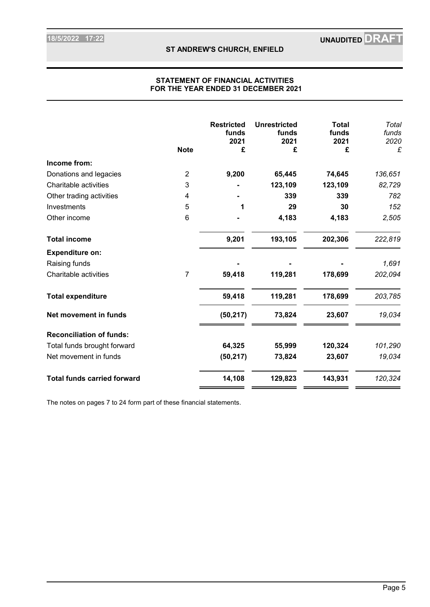### **STATEMENT OF FINANCIAL ACTIVITIES FOR THE YEAR ENDED 31 DECEMBER 2021**

|                                    |                | <b>Restricted</b><br>funds<br>2021 | <b>Unrestricted</b><br>funds<br>2021 | <b>Total</b><br>funds<br>2021 | Total<br>funds<br>2020 |
|------------------------------------|----------------|------------------------------------|--------------------------------------|-------------------------------|------------------------|
|                                    | <b>Note</b>    | £                                  | £                                    | £                             | £                      |
| Income from:                       |                |                                    |                                      |                               |                        |
| Donations and legacies             | $\overline{2}$ | 9,200                              | 65,445                               | 74,645                        | 136,651                |
| Charitable activities              | 3              |                                    | 123,109                              | 123,109                       | 82,729                 |
| Other trading activities           | 4              |                                    | 339                                  | 339                           | 782                    |
| Investments                        | 5              |                                    | 29                                   | 30                            | 152                    |
| Other income                       | 6              |                                    | 4,183                                | 4,183                         | 2,505                  |
| <b>Total income</b>                |                | 9,201                              | 193,105                              | 202,306                       | 222,819                |
| <b>Expenditure on:</b>             |                |                                    |                                      |                               |                        |
| Raising funds                      |                |                                    |                                      |                               | 1,691                  |
| Charitable activities              | 7              | 59,418                             | 119,281                              | 178,699                       | 202,094                |
| <b>Total expenditure</b>           |                | 59,418                             | 119,281                              | 178,699                       | 203,785                |
| Net movement in funds              |                | (50, 217)                          | 73,824                               | 23,607                        | 19,034                 |
| <b>Reconciliation of funds:</b>    |                |                                    |                                      |                               |                        |
| Total funds brought forward        |                | 64,325                             | 55,999                               | 120,324                       | 101,290                |
| Net movement in funds              |                | (50, 217)                          | 73,824                               | 23,607                        | 19,034                 |
| <b>Total funds carried forward</b> |                | 14,108                             | 129,823                              | 143,931                       | 120,324                |

The notes on pages 7 to 24 form part of these financial statements.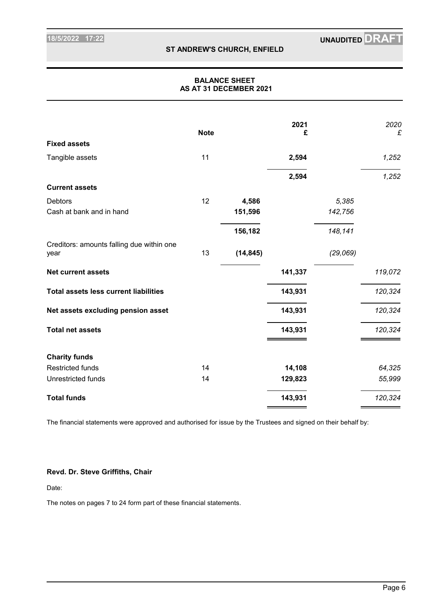### **BALANCE SHEET AS AT 31 DECEMBER 2021**

|                                                   | <b>Note</b> |           | 2021<br>£ |           | 2020<br>£ |
|---------------------------------------------------|-------------|-----------|-----------|-----------|-----------|
| <b>Fixed assets</b>                               |             |           |           |           |           |
| Tangible assets                                   | 11          |           | 2,594     |           | 1,252     |
|                                                   |             |           | 2,594     |           | 1,252     |
| <b>Current assets</b>                             |             |           |           |           |           |
| <b>Debtors</b>                                    | 12          | 4,586     |           | 5,385     |           |
| Cash at bank and in hand                          |             | 151,596   |           | 142,756   |           |
|                                                   |             | 156,182   |           | 148,141   |           |
| Creditors: amounts falling due within one<br>year | 13          | (14, 845) |           | (29, 069) |           |
| <b>Net current assets</b>                         |             |           | 141,337   |           | 119,072   |
| <b>Total assets less current liabilities</b>      |             |           | 143,931   |           | 120,324   |
| Net assets excluding pension asset                |             |           | 143,931   |           | 120,324   |
| <b>Total net assets</b>                           |             |           | 143,931   |           | 120,324   |
| <b>Charity funds</b>                              |             |           |           |           |           |
| <b>Restricted funds</b>                           | 14          |           | 14,108    |           | 64,325    |
| <b>Unrestricted funds</b>                         | 14          |           | 129,823   |           | 55,999    |
| <b>Total funds</b>                                |             |           | 143,931   |           | 120,324   |

The financial statements were approved and authorised for issue by the Trustees and signed on their behalf by:

### **Revd. Dr. Steve Griffiths, Chair**

Date:

The notes on pages 7 to 24 form part of these financial statements.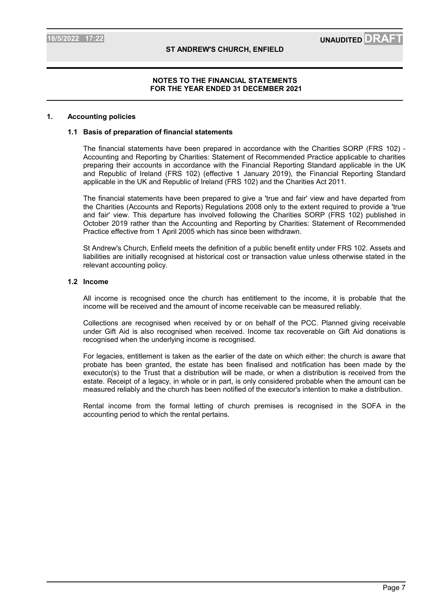#### **1. Accounting policies**

#### **1.1 Basis of preparation of financial statements**

The financial statements have been prepared in accordance with the Charities SORP (FRS 102) - Accounting and Reporting by Charities: Statement of Recommended Practice applicable to charities preparing their accounts in accordance with the Financial Reporting Standard applicable in the UK and Republic of Ireland (FRS 102) (effective 1 January 2019), the Financial Reporting Standard applicable in the UK and Republic of Ireland (FRS 102) and the Charities Act 2011.

The financial statements have been prepared to give a 'true and fair' view and have departed from the Charities (Accounts and Reports) Regulations 2008 only to the extent required to provide a 'true and fair' view. This departure has involved following the Charities SORP (FRS 102) published in October 2019 rather than the Accounting and Reporting by Charities: Statement of Recommended Practice effective from 1 April 2005 which has since been withdrawn.

St Andrew's Church, Enfield meets the definition of a public benefit entity under FRS 102. Assets and liabilities are initially recognised at historical cost or transaction value unless otherwise stated in the relevant accounting policy.

#### **1.2 Income**

All income is recognised once the church has entitlement to the income, it is probable that the income will be received and the amount of income receivable can be measured reliably.

Collections are recognised when received by or on behalf of the PCC. Planned giving receivable under Gift Aid is also recognised when received. Income tax recoverable on Gift Aid donations is recognised when the underlying income is recognised.

For legacies, entitlement is taken as the earlier of the date on which either: the church is aware that probate has been granted, the estate has been finalised and notification has been made by the executor(s) to the Trust that a distribution will be made, or when a distribution is received from the estate. Receipt of a legacy, in whole or in part, is only considered probable when the amount can be measured reliably and the church has been notified of the executor's intention to make a distribution.

Rental income from the formal letting of church premises is recognised in the SOFA in the accounting period to which the rental pertains.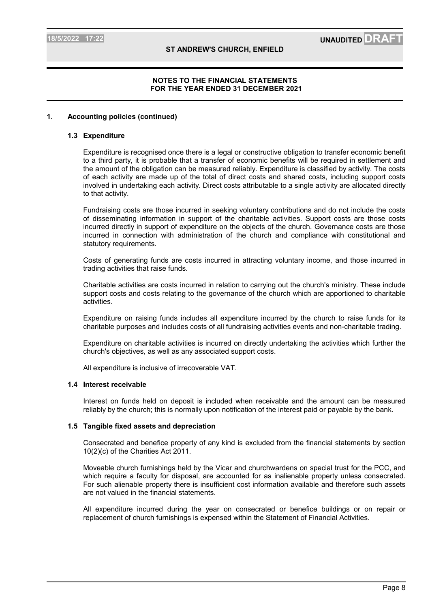#### **1. Accounting policies (continued)**

#### **1.3 Expenditure**

Expenditure is recognised once there is a legal or constructive obligation to transfer economic benefit to a third party, it is probable that a transfer of economic benefits will be required in settlement and the amount of the obligation can be measured reliably. Expenditure is classified by activity. The costs of each activity are made up of the total of direct costs and shared costs, including support costs involved in undertaking each activity. Direct costs attributable to a single activity are allocated directly to that activity.

Fundraising costs are those incurred in seeking voluntary contributions and do not include the costs of disseminating information in support of the charitable activities. Support costs are those costs incurred directly in support of expenditure on the objects of the church. Governance costs are those incurred in connection with administration of the church and compliance with constitutional and statutory requirements.

Costs of generating funds are costs incurred in attracting voluntary income, and those incurred in trading activities that raise funds.

Charitable activities are costs incurred in relation to carrying out the church's ministry. These include support costs and costs relating to the governance of the church which are apportioned to charitable activities.

Expenditure on raising funds includes all expenditure incurred by the church to raise funds for its charitable purposes and includes costs of all fundraising activities events and non-charitable trading.

Expenditure on charitable activities is incurred on directly undertaking the activities which further the church's objectives, as well as any associated support costs.

All expenditure is inclusive of irrecoverable VAT.

#### **1.4 Interest receivable**

Interest on funds held on deposit is included when receivable and the amount can be measured reliably by the church; this is normally upon notification of the interest paid or payable by the bank.

#### **1.5 Tangible fixed assets and depreciation**

Consecrated and benefice property of any kind is excluded from the financial statements by section 10(2)(c) of the Charities Act 2011.

Moveable church furnishings held by the Vicar and churchwardens on special trust for the PCC, and which require a faculty for disposal, are accounted for as inalienable property unless consecrated. For such alienable property there is insufficient cost information available and therefore such assets are not valued in the financial statements.

All expenditure incurred during the year on consecrated or benefice buildings or on repair or replacement of church furnishings is expensed within the Statement of Financial Activities.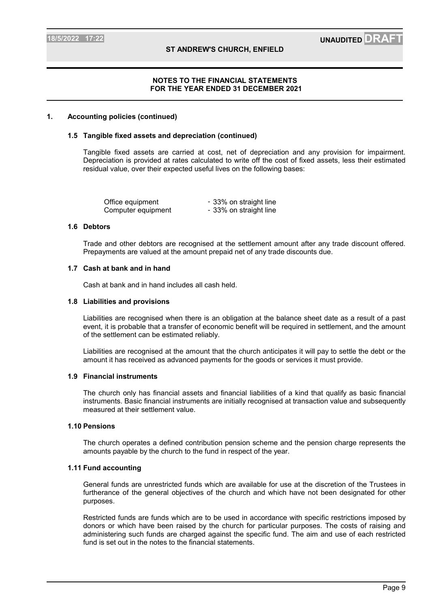### **1. Accounting policies (continued)**

#### **1.5 Tangible fixed assets and depreciation (continued)**

Tangible fixed assets are carried at cost, net of depreciation and any provision for impairment. Depreciation is provided at rates calculated to write off the cost of fixed assets, less their estimated residual value, over their expected useful lives on the following bases:

| Office equipment   | - 33% on straight line |
|--------------------|------------------------|
| Computer equipment | - 33% on straight line |

#### **1.6 Debtors**

Trade and other debtors are recognised at the settlement amount after any trade discount offered. Prepayments are valued at the amount prepaid net of any trade discounts due.

#### **1.7 Cash at bank and in hand**

Cash at bank and in hand includes all cash held.

#### **1.8 Liabilities and provisions**

Liabilities are recognised when there is an obligation at the balance sheet date as a result of a past event, it is probable that a transfer of economic benefit will be required in settlement, and the amount of the settlement can be estimated reliably.

Liabilities are recognised at the amount that the church anticipates it will pay to settle the debt or the amount it has received as advanced payments for the goods or services it must provide.

#### **1.9 Financial instruments**

The church only has financial assets and financial liabilities of a kind that qualify as basic financial instruments. Basic financial instruments are initially recognised at transaction value and subsequently measured at their settlement value.

#### **1.10 Pensions**

The church operates a defined contribution pension scheme and the pension charge represents the amounts payable by the church to the fund in respect of the year.

#### **1.11 Fund accounting**

General funds are unrestricted funds which are available for use at the discretion of the Trustees in furtherance of the general objectives of the church and which have not been designated for other purposes.

Restricted funds are funds which are to be used in accordance with specific restrictions imposed by donors or which have been raised by the church for particular purposes. The costs of raising and administering such funds are charged against the specific fund. The aim and use of each restricted fund is set out in the notes to the financial statements.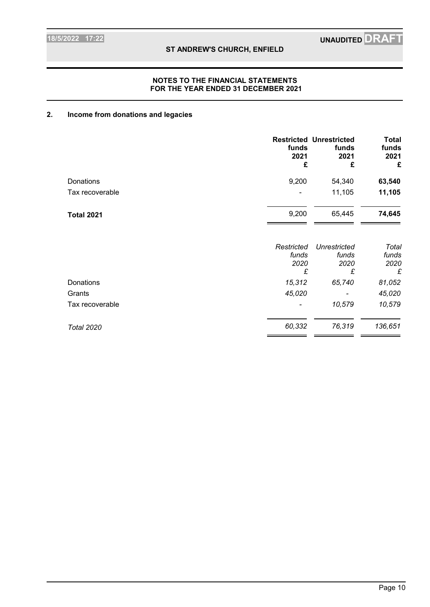### **NOTES TO THE FINANCIAL STATEMENTS FOR THE YEAR ENDED 31 DECEMBER 2021**

# **2. Income from donations and legacies**

|                   | funds<br>2021<br>£               | <b>Restricted Unrestricted</b><br>funds<br>2021<br>£ | <b>Total</b><br>funds<br>2021<br>£ |
|-------------------|----------------------------------|------------------------------------------------------|------------------------------------|
| Donations         | 9,200                            | 54,340                                               | 63,540                             |
| Tax recoverable   |                                  | 11,105                                               | 11,105                             |
| <b>Total 2021</b> | 9,200                            | 65,445                                               | 74,645                             |
|                   | Restricted<br>funds<br>2020<br>£ | Unrestricted<br>funds<br>2020<br>£                   | Total<br>funds<br>2020<br>£        |
| Donations         | 15,312                           | 65,740                                               | 81,052                             |
| Grants            | 45,020                           |                                                      | 45,020                             |
| Tax recoverable   |                                  | 10,579                                               | 10,579                             |
| <b>Total 2020</b> | 60,332                           | 76,319                                               | 136,651                            |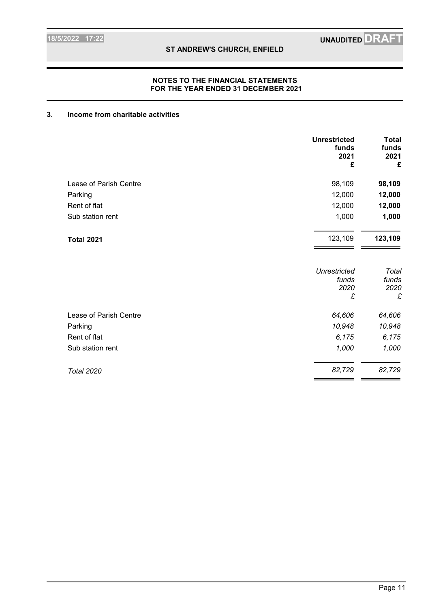### **NOTES TO THE FINANCIAL STATEMENTS FOR THE YEAR ENDED 31 DECEMBER 2021**

## **3. Income from charitable activities**

|                        | <b>Unrestricted</b><br>funds<br>2021<br>£ | <b>Total</b><br>funds<br>2021<br>£ |
|------------------------|-------------------------------------------|------------------------------------|
| Lease of Parish Centre | 98,109                                    | 98,109                             |
| Parking                | 12,000                                    | 12,000                             |
| Rent of flat           | 12,000                                    | 12,000                             |
| Sub station rent       | 1,000                                     | 1,000                              |
| <b>Total 2021</b>      | 123,109                                   | 123,109                            |
|                        | <b>Unrestricted</b><br>funds<br>2020<br>£ | Total<br>funds<br>2020<br>£        |
| Lease of Parish Centre | 64,606                                    | 64,606                             |
| Parking                | 10,948                                    | 10,948                             |
| Rent of flat           | 6,175                                     | 6,175                              |
| Sub station rent       | 1,000                                     | 1,000                              |
| <b>Total 2020</b>      | 82,729                                    | 82,729                             |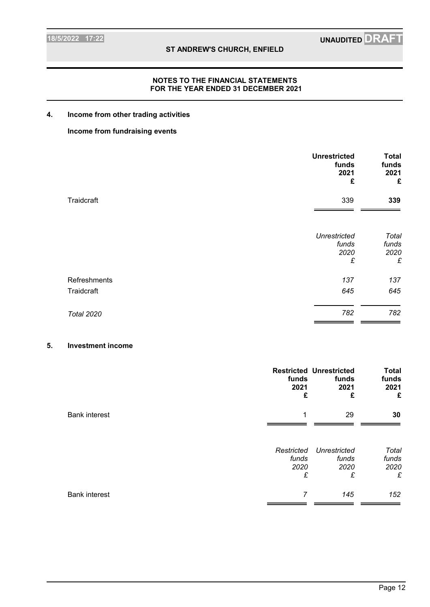### **NOTES TO THE FINANCIAL STATEMENTS FOR THE YEAR ENDED 31 DECEMBER 2021**

### **4. Income from other trading activities**

### **Income from fundraising events**

|                   | <b>Unrestricted</b><br>funds<br>2021<br>£ | <b>Total</b><br>funds<br>2021<br>£ |
|-------------------|-------------------------------------------|------------------------------------|
| Traidcraft        | 339                                       | 339                                |
|                   | <b>Unrestricted</b><br>funds<br>2020<br>£ | Total<br>funds<br>2020<br>£        |
| Refreshments      | 137                                       | 137                                |
| Traidcraft        | 645                                       | 645                                |
| <b>Total 2020</b> | 782                                       | 782                                |

### **5. Investment income**

|                      | funds<br>2021<br>£               | <b>Restricted Unrestricted</b><br>funds<br>2021<br>£ | <b>Total</b><br>funds<br>2021<br>£ |
|----------------------|----------------------------------|------------------------------------------------------|------------------------------------|
| <b>Bank interest</b> | 1                                | 29                                                   | 30                                 |
|                      | Restricted<br>funds<br>2020<br>£ | Unrestricted<br>funds<br>2020<br>£                   | Total<br>funds<br>2020<br>£        |
| <b>Bank interest</b> | 7                                | 145                                                  | 152                                |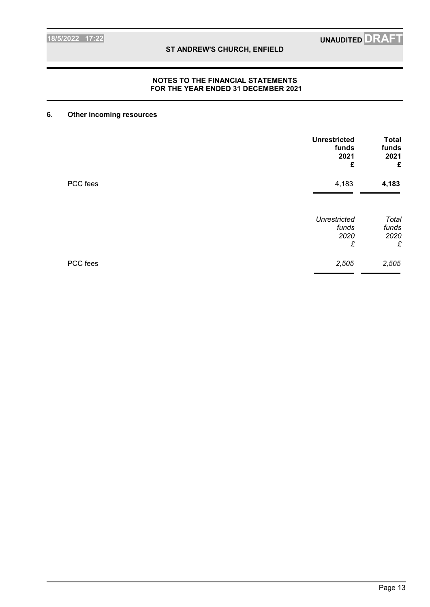### **NOTES TO THE FINANCIAL STATEMENTS FOR THE YEAR ENDED 31 DECEMBER 2021**

### **6. Other incoming resources**

|          | <b>Unrestricted</b><br>funds<br>2021<br>£ | <b>Total</b><br>funds<br>2021<br>£ |
|----------|-------------------------------------------|------------------------------------|
| PCC fees | 4,183                                     | 4,183                              |
|          | <b>Unrestricted</b><br>funds<br>2020<br>£ | Total<br>funds<br>2020<br>£        |
| PCC fees | 2,505                                     | 2,505                              |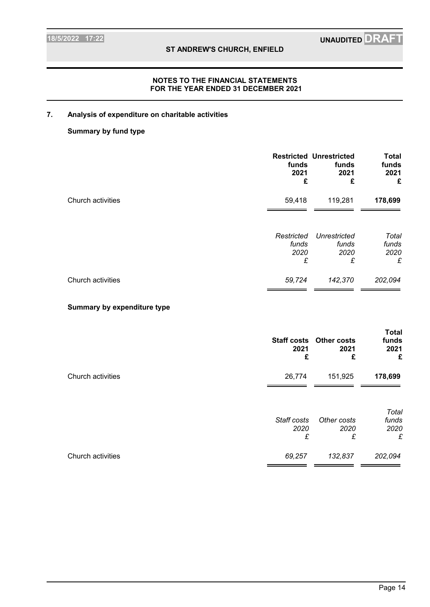# **7. Analysis of expenditure on charitable activities**

### **Summary by fund type**

|                             | funds<br>2021<br>£               | <b>Restricted Unrestricted</b><br>funds<br>2021<br>£ | <b>Total</b><br>funds<br>2021<br>£ |
|-----------------------------|----------------------------------|------------------------------------------------------|------------------------------------|
| Church activities           | 59,418                           | 119,281                                              | 178,699                            |
|                             | Restricted<br>funds<br>2020<br>£ | Unrestricted<br>funds<br>2020<br>£                   | Total<br>funds<br>2020<br>£        |
| Church activities           | 59,724                           | 142,370                                              | 202,094                            |
| Summary by expenditure type |                                  |                                                      |                                    |

|                   | 2021<br>£                | <b>Staff costs Other costs</b><br>2021<br>£ | <b>Total</b><br>funds<br>2021<br>£ |
|-------------------|--------------------------|---------------------------------------------|------------------------------------|
| Church activities | 26,774                   | 151,925                                     | 178,699                            |
|                   | Staff costs<br>2020<br>£ | Other costs<br>2020<br>£                    | Total<br>funds<br>2020<br>£        |
| Church activities | 69,257                   | 132,837                                     | 202,094                            |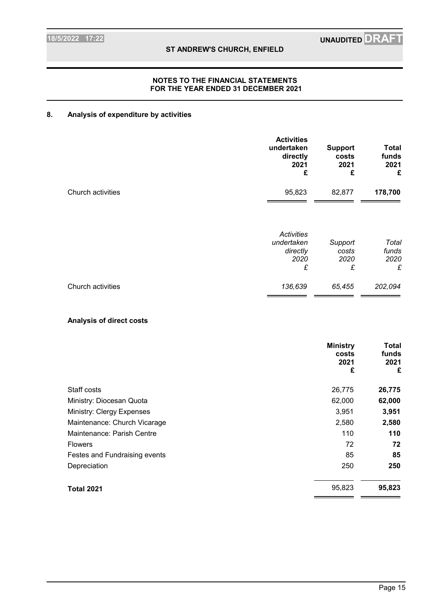### **NOTES TO THE FINANCIAL STATEMENTS FOR THE YEAR ENDED 31 DECEMBER 2021**

# **8. Analysis of expenditure by activities**

|                   | <b>Activities</b><br>undertaken<br>directly<br>2021<br>£ | <b>Support</b><br>costs<br>2021<br>£ | <b>Total</b><br>funds<br>2021<br>£ |
|-------------------|----------------------------------------------------------|--------------------------------------|------------------------------------|
| Church activities | 95,823                                                   | 82,877                               | 178,700                            |
|                   | <b>Activities</b><br>undertaken<br>directly<br>2020<br>£ | Support<br>costs<br>2020<br>£        | Total<br>funds<br>2020<br>£        |
| Church activities | 136,639                                                  | 65,455                               | 202,094                            |

### **Analysis of direct costs**

|                               | <b>Ministry</b><br>costs<br>2021<br>£ | Total<br>funds<br>2021<br>£ |
|-------------------------------|---------------------------------------|-----------------------------|
| Staff costs                   | 26,775                                | 26,775                      |
| Ministry: Diocesan Quota      | 62,000                                | 62,000                      |
| Ministry: Clergy Expenses     | 3,951                                 | 3,951                       |
| Maintenance: Church Vicarage  | 2,580                                 | 2,580                       |
| Maintenance: Parish Centre    | 110                                   | 110                         |
| <b>Flowers</b>                | 72                                    | 72                          |
| Festes and Fundraising events | 85                                    | 85                          |
| Depreciation                  | 250                                   | 250                         |
| <b>Total 2021</b>             | 95,823                                | 95,823                      |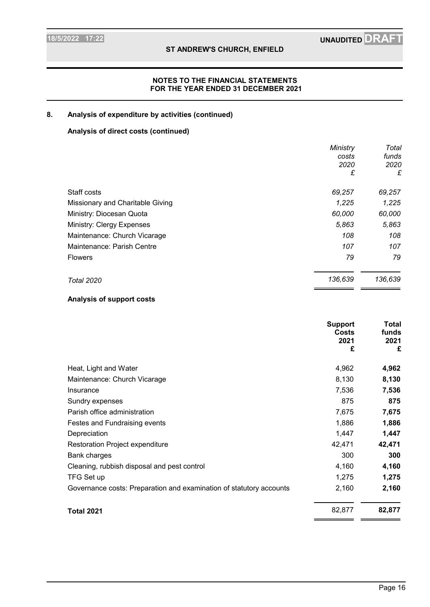# **8. Analysis of expenditure by activities (continued)**

# **Analysis of direct costs (continued)**

|                                  | Ministry<br>costs<br>2020<br>£ | Total<br>funds<br>2020<br>£ |
|----------------------------------|--------------------------------|-----------------------------|
|                                  |                                |                             |
| Staff costs                      | 69,257                         | 69,257                      |
| Missionary and Charitable Giving | 1,225                          | 1,225                       |
| Ministry: Diocesan Quota         | 60,000                         | 60,000                      |
| Ministry: Clergy Expenses        | 5,863                          | 5,863                       |
| Maintenance: Church Vicarage     | 108                            | 108                         |
| Maintenance: Parish Centre       | 107                            | 107                         |
| <b>Flowers</b>                   | 79                             | 79                          |
| <b>Total 2020</b>                | 136,639                        | 136,639                     |

### **Analysis of support costs**

|                                                                     | <b>Support</b><br><b>Costs</b><br>2021<br>£ | Total<br>funds<br>2021<br>£ |
|---------------------------------------------------------------------|---------------------------------------------|-----------------------------|
| Heat, Light and Water                                               | 4,962                                       | 4,962                       |
| Maintenance: Church Vicarage                                        | 8,130                                       | 8,130                       |
| Insurance                                                           | 7,536                                       | 7,536                       |
| Sundry expenses                                                     | 875                                         | 875                         |
| Parish office administration                                        | 7,675                                       | 7,675                       |
| Festes and Fundraising events                                       | 1,886                                       | 1,886                       |
| Depreciation                                                        | 1,447                                       | 1,447                       |
| Restoration Project expenditure                                     | 42,471                                      | 42,471                      |
| <b>Bank charges</b>                                                 | 300                                         | 300                         |
| Cleaning, rubbish disposal and pest control                         | 4,160                                       | 4,160                       |
| TFG Set up                                                          | 1,275                                       | 1,275                       |
| Governance costs: Preparation and examination of statutory accounts | 2,160                                       | 2,160                       |
| <b>Total 2021</b>                                                   | 82,877                                      | 82,877                      |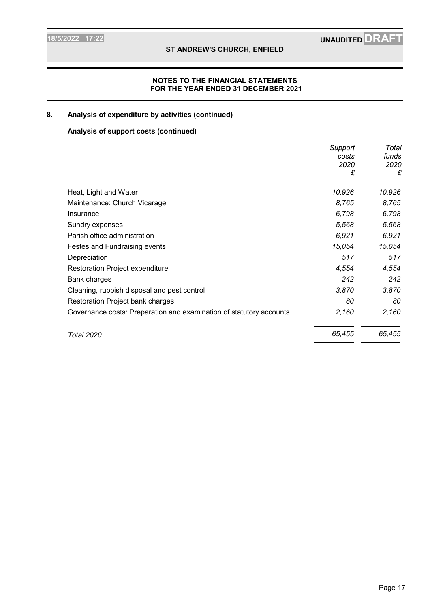### **NOTES TO THE FINANCIAL STATEMENTS FOR THE YEAR ENDED 31 DECEMBER 2021**

# **8. Analysis of expenditure by activities (continued)**

# **Analysis of support costs (continued)**

|                                                                     | Support | Total  |
|---------------------------------------------------------------------|---------|--------|
|                                                                     | costs   | funds  |
|                                                                     | 2020    | 2020   |
|                                                                     | £       | £      |
| Heat, Light and Water                                               | 10,926  | 10,926 |
| Maintenance: Church Vicarage                                        | 8,765   | 8,765  |
| Insurance                                                           | 6,798   | 6,798  |
| Sundry expenses                                                     | 5,568   | 5,568  |
| Parish office administration                                        | 6,921   | 6,921  |
| Festes and Fundraising events                                       | 15,054  | 15,054 |
| Depreciation                                                        | 517     | 517    |
| Restoration Project expenditure                                     | 4,554   | 4,554  |
| Bank charges                                                        | 242     | 242    |
| Cleaning, rubbish disposal and pest control                         | 3,870   | 3,870  |
| Restoration Project bank charges                                    | 80      | 80     |
| Governance costs: Preparation and examination of statutory accounts | 2,160   | 2,160  |
| Total 2020                                                          | 65,455  | 65,455 |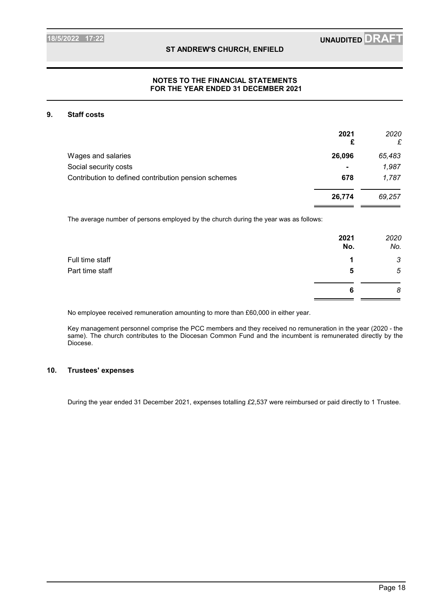### **9. Staff costs**

|                                                      | 2021<br>£      | 2020<br>£ |
|------------------------------------------------------|----------------|-----------|
| Wages and salaries                                   | 26,096         | 65,483    |
| Social security costs                                | $\blacksquare$ | 1,987     |
| Contribution to defined contribution pension schemes | 678            | 1,787     |
|                                                      | 26,774         | 69,257    |
|                                                      |                |           |

The average number of persons employed by the church during the year was as follows:

|                 | 2021<br>No. | 2020<br>No. |
|-----------------|-------------|-------------|
| Full time staff | я           | 3           |
| Part time staff | 5           | 5           |
|                 | 6           | 8           |
|                 |             |             |

No employee received remuneration amounting to more than £60,000 in either year.

Key management personnel comprise the PCC members and they received no remuneration in the year (2020 - the same). The church contributes to the Diocesan Common Fund and the incumbent is remunerated directly by the Diocese.

#### **10. Trustees' expenses**

During the year ended 31 December 2021, expenses totalling *£*2,537 were reimbursed or paid directly to 1 Trustee.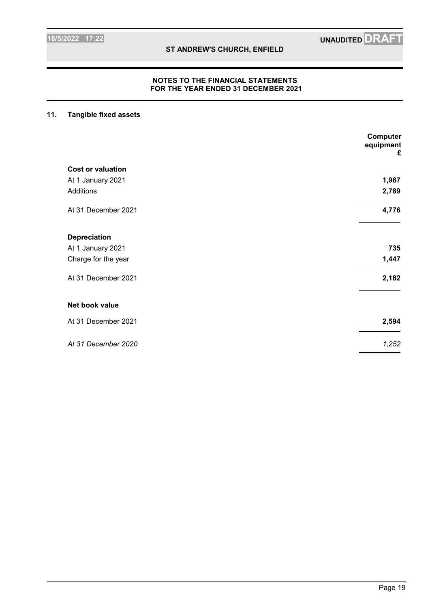### **NOTES TO THE FINANCIAL STATEMENTS FOR THE YEAR ENDED 31 DECEMBER 2021**

# **11. Tangible fixed assets**

|                          | Computer<br>equipment<br>£ |
|--------------------------|----------------------------|
| <b>Cost or valuation</b> |                            |
| At 1 January 2021        | 1,987                      |
| Additions                | 2,789                      |
| At 31 December 2021      | 4,776                      |
| <b>Depreciation</b>      |                            |
| At 1 January 2021        | 735                        |
| Charge for the year      | 1,447                      |
| At 31 December 2021      | 2,182                      |
| Net book value           |                            |
| At 31 December 2021      | 2,594                      |
| At 31 December 2020      | 1,252                      |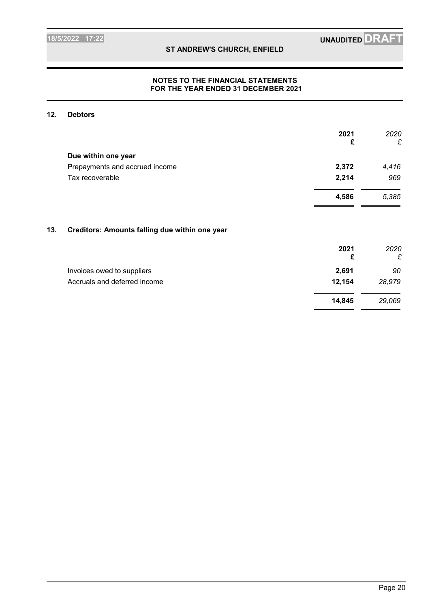**14,845** *29,069*

### **ST ANDREW'S CHURCH, ENFIELD**

### **NOTES TO THE FINANCIAL STATEMENTS FOR THE YEAR ENDED 31 DECEMBER 2021**

### **12. Debtors**

|     |                                                | 2021<br>£ | 2020<br>£ |
|-----|------------------------------------------------|-----------|-----------|
|     |                                                |           |           |
|     | Due within one year                            |           |           |
|     | Prepayments and accrued income                 | 2,372     | 4,416     |
|     | Tax recoverable                                | 2,214     | 969       |
|     |                                                | 4,586     | 5,385     |
| 13. | Creditors: Amounts falling due within one year |           |           |
|     |                                                | 2021      | 2020      |
|     |                                                | £         | £         |
|     | Invoices owed to suppliers                     | 2,691     | 90        |
|     | Accruals and deferred income                   | 12,154    | 28,979    |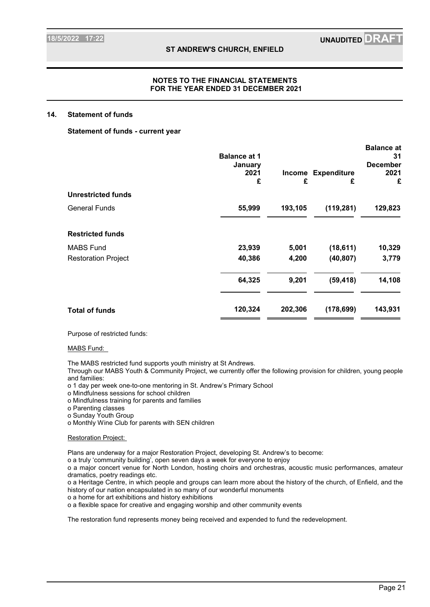#### **NOTES TO THE FINANCIAL STATEMENTS FOR THE YEAR ENDED 31 DECEMBER 2021**

#### **14. Statement of funds**

#### **Statement of funds - current year**

|                            | <b>Balance at 1</b><br>January |             |                         | <b>Balance at</b><br>31<br><b>December</b> |
|----------------------------|--------------------------------|-------------|-------------------------|--------------------------------------------|
|                            | 2021<br>£                      | Income<br>£ | <b>Expenditure</b><br>£ | 2021<br>£                                  |
| <b>Unrestricted funds</b>  |                                |             |                         |                                            |
| <b>General Funds</b>       | 55,999                         | 193,105     | (119, 281)              | 129,823                                    |
| <b>Restricted funds</b>    |                                |             |                         |                                            |
| <b>MABS Fund</b>           | 23,939                         | 5,001       | (18,611)                | 10,329                                     |
| <b>Restoration Project</b> | 40,386                         | 4,200       | (40, 807)               | 3,779                                      |
|                            | 64,325                         | 9,201       | (59, 418)               | 14,108                                     |
| <b>Total of funds</b>      | 120,324                        | 202,306     | (178, 699)              | 143,931                                    |
|                            |                                |             |                         |                                            |

Purpose of restricted funds:

#### MABS Fund:

The MABS restricted fund supports youth ministry at St Andrews.

Through our MABS Youth & Community Project, we currently offer the following provision for children, young people and families:

o 1 day per week one-to-one mentoring in St. Andrew's Primary School

o Mindfulness sessions for school children

o Mindfulness training for parents and families

o Parenting classes

o Sunday Youth Group

o Monthly Wine Club for parents with SEN children

#### Restoration Project:

Plans are underway for a major Restoration Project, developing St. Andrew's to become:

o a truly 'community building', open seven days a week for everyone to enjoy

o a major concert venue for North London, hosting choirs and orchestras, acoustic music performances, amateur dramatics, poetry readings etc.

o a Heritage Centre, in which people and groups can learn more about the history of the church, of Enfield, and the history of our nation encapsulated in so many of our wonderful monuments

o a home for art exhibitions and history exhibitions

o a flexible space for creative and engaging worship and other community events

The restoration fund represents money being received and expended to fund the redevelopment.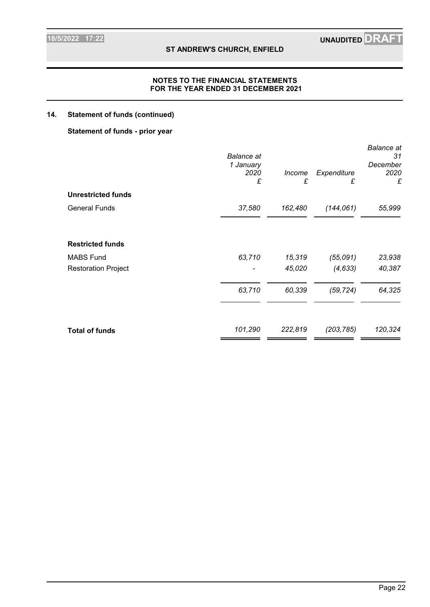### **NOTES TO THE FINANCIAL STATEMENTS FOR THE YEAR ENDED 31 DECEMBER 2021**

### **14. Statement of funds (continued)**

### **Statement of funds - prior year**

|                            | <b>Balance</b> at<br>1 January<br>2020<br>£ | Income<br>£ | Expenditure<br>£ | <b>Balance</b> at<br>31<br>December<br>2020<br>£ |
|----------------------------|---------------------------------------------|-------------|------------------|--------------------------------------------------|
| <b>Unrestricted funds</b>  |                                             |             |                  |                                                  |
| <b>General Funds</b>       | 37,580                                      | 162,480     | (144, 061)       | 55,999                                           |
| <b>Restricted funds</b>    |                                             |             |                  |                                                  |
| <b>MABS Fund</b>           | 63,710                                      | 15,319      | (55,091)         | 23,938                                           |
| <b>Restoration Project</b> |                                             | 45,020      | (4, 633)         | 40,387                                           |
|                            | 63,710                                      | 60,339      | (59, 724)        | 64,325                                           |
| <b>Total of funds</b>      | 101,290                                     | 222,819     | (203, 785)       | 120,324                                          |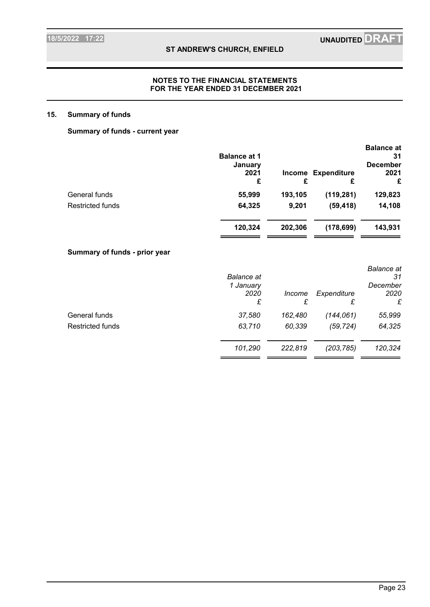### **NOTES TO THE FINANCIAL STATEMENTS FOR THE YEAR ENDED 31 DECEMBER 2021**

### **15. Summary of funds**

## **Summary of funds - current year**

|                         | <b>Balance at 1</b><br>January<br>2021<br>£ | <b>Income</b><br>£ | <b>Expenditure</b><br>£ | <b>Balance</b> at<br>31<br><b>December</b><br>2021<br>£ |
|-------------------------|---------------------------------------------|--------------------|-------------------------|---------------------------------------------------------|
| General funds           | 55,999                                      | 193,105            | (119, 281)              | 129,823                                                 |
| <b>Restricted funds</b> | 64,325                                      | 9,201              | (59, 418)               | 14,108                                                  |
|                         | 120,324                                     | 202,306            | (178, 699)              | 143,931                                                 |

# **Summary of funds - prior year**

|                  | <b>Balance</b> at<br>1 January<br>2020<br>£ | <i>Income</i><br>£ | Expenditure<br>£ | <b>Balance</b> at<br>31<br>December<br>2020<br>£ |
|------------------|---------------------------------------------|--------------------|------------------|--------------------------------------------------|
| General funds    | 37,580                                      | 162,480            | (144, 061)       | 55,999                                           |
| Restricted funds | 63,710                                      | 60,339             | (59, 724)        | 64,325                                           |
|                  | 101,290                                     | 222,819            | (203, 785)       | 120,324                                          |